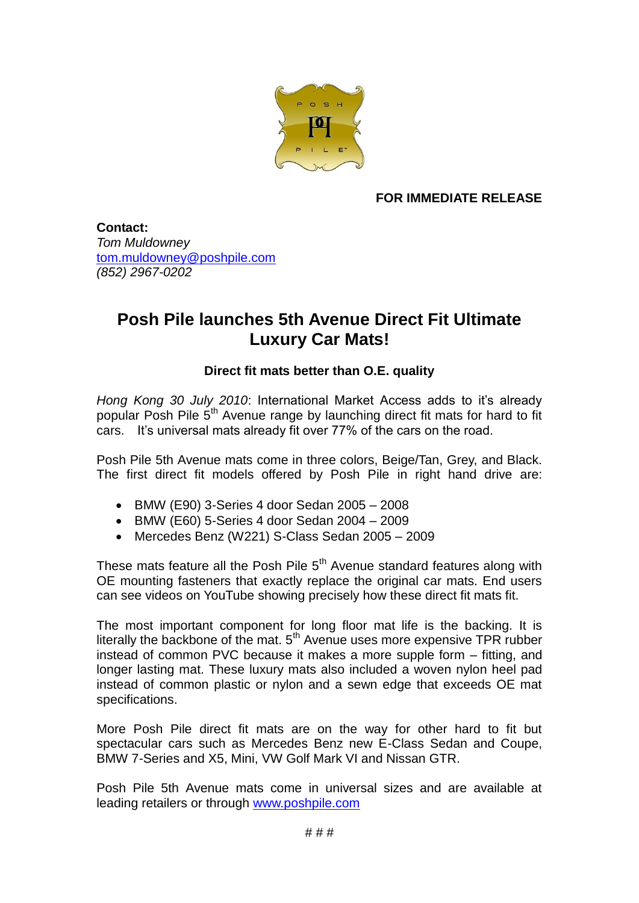

**FOR IMMEDIATE RELEASE**

**Contact:** *Tom Muldowney* [tom.muldowney@poshpile.com](mailto:tom.muldowney@poshpile.com) *(852) 2967-0202*

## **Posh Pile launches 5th Avenue Direct Fit Ultimate Luxury Car Mats!**

## **Direct fit mats better than O.E. quality**

*Hong Kong 30 July 2010*: International Market Access adds to it's already popular Posh Pile  $5<sup>th</sup>$  Avenue range by launching direct fit mats for hard to fit cars. It's universal mats already fit over 77% of the cars on the road.

Posh Pile 5th Avenue mats come in three colors, Beige/Tan, Grey, and Black. The first direct fit models offered by Posh Pile in right hand drive are:

- BMW (E90) 3-Series 4 door Sedan 2005 2008
- BMW (E60) 5-Series 4 door Sedan 2004 2009
- Mercedes Benz (W221) S-Class Sedan 2005 2009

These mats feature all the Posh Pile  $5<sup>th</sup>$  Avenue standard features along with OE mounting fasteners that exactly replace the original car mats. End users can see videos on YouTube showing precisely how these direct fit mats fit.

The most important component for long floor mat life is the backing. It is literally the backbone of the mat.  $5<sup>th</sup>$  Avenue uses more expensive TPR rubber instead of common PVC because it makes a more supple form – fitting, and longer lasting mat. These luxury mats also included a woven nylon heel pad instead of common plastic or nylon and a sewn edge that exceeds OE mat specifications.

More Posh Pile direct fit mats are on the way for other hard to fit but spectacular cars such as Mercedes Benz new E-Class Sedan and Coupe, BMW 7-Series and X5, Mini, VW Golf Mark VI and Nissan GTR.

Posh Pile 5th Avenue mats come in universal sizes and are available at leading retailers or through [www.poshpile.com](http://www.poshpile.com/)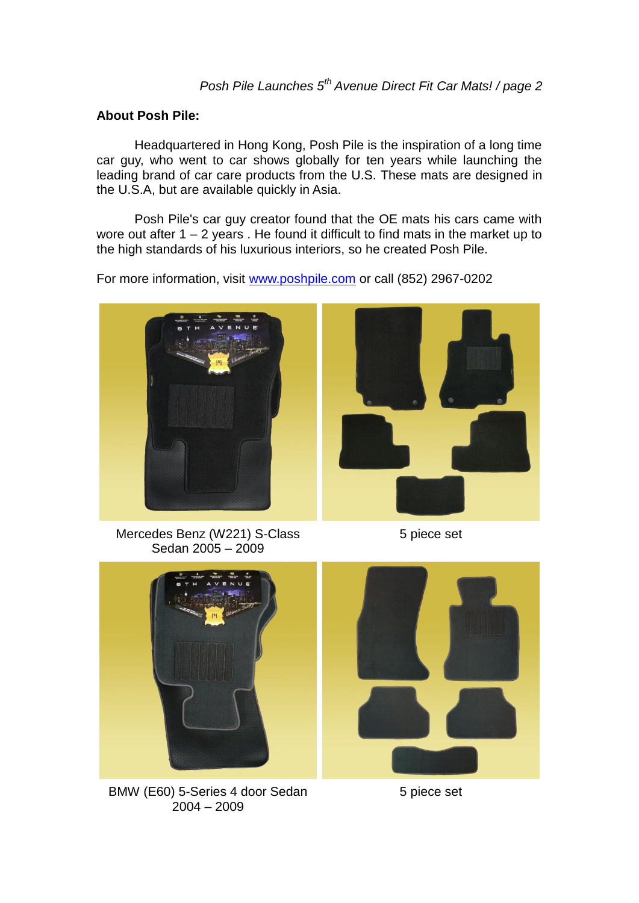## **About Posh Pile:**

Headquartered in Hong Kong, Posh Pile is the inspiration of a long time car guy, who went to car shows globally for ten years while launching the leading brand of car care products from the U.S. These mats are designed in the U.S.A, but are available quickly in Asia.

Posh Pile's car guy creator found that the OE mats his cars came with wore out after  $1 - 2$  years. He found it difficult to find mats in the market up to the high standards of his luxurious interiors, so he created Posh Pile.

For more information, visit [www.poshpile.com](http://www.poshpile.com/) or call (852) 2967-0202





Mercedes Benz (W221) S-Class Sedan 2005 – 2009

5 piece set



BMW (E60) 5-Series 4 door Sedan 2004 – 2009